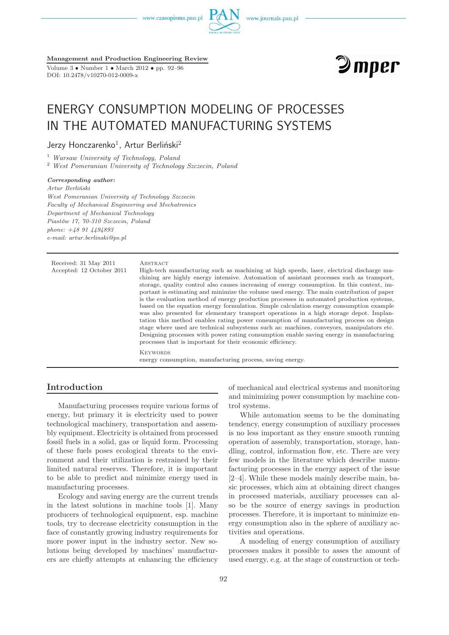www.czasopisma.pan.pl



**Management and Production Engineering Review**

Volume 3 • Number 1 • March 2012 • pp. 92–96 DOI: 10.2478/v10270-012-0009-x



# ENERGY CONSUMPTION MODELING OF PROCESSES IN THE AUTOMATED MANUFACTURING SYSTEMS

Jerzy Honczarenko $^1$ , Artur Berliński $^2$ 

<sup>1</sup> *Warsaw University of Technology, Poland*

<sup>2</sup> *West Pomeranian University of Technology Szczecin, Poland*

#### *Corresponding author:*

*Artur Berliński West Pomeranian University of Technology Szczecin Faculty of Mechanical Engineering and Mechatronics Department of Mechanical Technology Piastów 17, 70-310 Szczecin, Poland phone: +48 91 4494893 e-mail: artur.berlinski@ps.pl*

| Received: 31 May 2011<br>Accepted: 12 October 2011 | ABSTRACT<br>High-tech manufacturing such as machining at high speeds, laser, electrical discharge ma-<br>chining are highly energy intensive. Automation of assistant processes such as transport,<br>storage, quality control also causes increasing of energy consumption. In this context, im-<br>portant is estimating and minimize the volume used energy. The main contribution of paper<br>is the evaluation method of energy production processes in automated production systems,<br>based on the equation energy formulation. Simple calculation energy consumption example<br>was also presented for elementary transport operations in a high storage depot. Implan-<br>tation this method enables rating power consumption of manufacturing process on design<br>stage where used are technical subsystems such as: machines, conveyors, manipulators etc.<br>Designing processes with power rating consumption enable saving energy in manufacturing<br>processes that is important for their economic efficiency. |
|----------------------------------------------------|----------------------------------------------------------------------------------------------------------------------------------------------------------------------------------------------------------------------------------------------------------------------------------------------------------------------------------------------------------------------------------------------------------------------------------------------------------------------------------------------------------------------------------------------------------------------------------------------------------------------------------------------------------------------------------------------------------------------------------------------------------------------------------------------------------------------------------------------------------------------------------------------------------------------------------------------------------------------------------------------------------------------------------|
|                                                    | <b>KEYWORDS</b><br>energy consumption, manufacturing process, saving energy.                                                                                                                                                                                                                                                                                                                                                                                                                                                                                                                                                                                                                                                                                                                                                                                                                                                                                                                                                     |

## **Introduction**

Manufacturing processes require various forms of energy, but primary it is electricity used to power technological machinery, transportation and assembly equipment. Electricity is obtained from processed fossil fuels in a solid, gas or liquid form. Processing of these fuels poses ecological threats to the environment and their utilization is restrained by their limited natural reserves. Therefore, it is important to be able to predict and minimize energy used in manufacturing processes.

Ecology and saving energy are the current trends in the latest solutions in machine tools [1]. Many producers of technological equipment, esp. machine tools, try to decrease electricity consumption in the face of constantly growing industry requirements for more power input in the industry sector. New solutions being developed by machines' manufacturers are chiefly attempts at enhancing the efficiency of mechanical and electrical systems and monitoring and minimizing power consumption by machine control systems.

While automation seems to be the dominating tendency, energy consumption of auxiliary processes is no less important as they ensure smooth running operation of assembly, transportation, storage, handling, control, information flow, etc. There are very few models in the literature which describe manufacturing processes in the energy aspect of the issue [2–4]. While these models mainly describe main, basic processes, which aim at obtaining direct changes in processed materials, auxiliary processes can also be the source of energy savings in production processes. Therefore, it is important to minimize energy consumption also in the sphere of auxiliary activities and operations.

A modeling of energy consumption of auxiliary processes makes it possible to asses the amount of used energy, e.g. at the stage of construction or tech-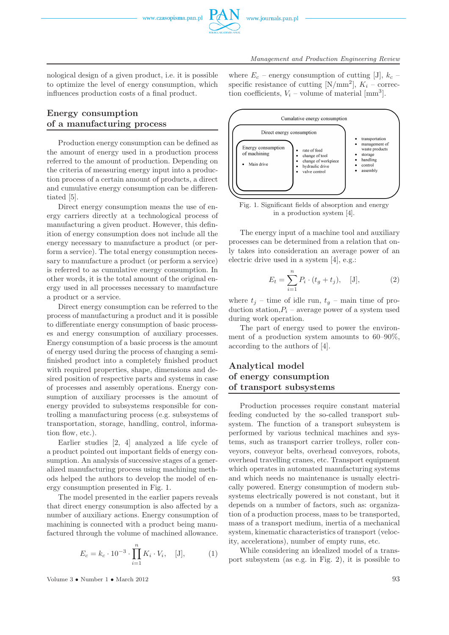

nological design of a given product, i.e. it is possible to optimize the level of energy consumption, which influences production costs of a final product.

## **Energy consumption of a manufacturing process**

Production energy consumption can be defined as the amount of energy used in a production process referred to the amount of production. Depending on the criteria of measuring energy input into a production process of a certain amount of products, a direct and cumulative energy consumption can be differentiated [5].

Direct energy consumption means the use of energy carriers directly at a technological process of manufacturing a given product. However, this definition of energy consumption does not include all the energy necessary to manufacture a product (or perform a service). The total energy consumption necessary to manufacture a product (or perform a service) is referred to as cumulative energy consumption. In other words, it is the total amount of the original energy used in all processes necessary to manufacture a product or a service.

Direct energy consumption can be referred to the process of manufacturing a product and it is possible to differentiate energy consumption of basic processes and energy consumption of auxiliary processes. Energy consumption of a basic process is the amount of energy used during the process of changing a semifinished product into a completely finished product with required properties, shape, dimensions and desired position of respective parts and systems in case of processes and assembly operations. Energy consumption of auxiliary processes is the amount of energy provided to subsystems responsible for controlling a manufacturing process (e.g. subsystems of transportation, storage, handling, control, information flow, etc.).

Earlier studies [2, 4] analyzed a life cycle of a product pointed out important fields of energy consumption. An analysis of successive stages of a generalized manufacturing process using machining methods helped the authors to develop the model of energy consumption presented in Fig. 1.

The model presented in the earlier papers reveals that direct energy consumption is also affected by a number of auxiliary actions. Energy consumption of machining is connected with a product being manufactured through the volume of machined allowance.

$$
E_c = k_c \cdot 10^{-3} \cdot \prod_{i=1}^{n} K_i \cdot V_i, \quad [J], \tag{1}
$$

Volume  $3 \cdot \text{Number 1} \cdot \text{March 2012}$  93

where  $E_c$  – energy consumption of cutting [J],  $k_c$  – specific resistance of cutting [N/mm<sup>2</sup>],  $K_i$  – correction coefficients,  $V_i$  – volume of material  $\text{[mm}^3$ .



Fig. 1. Significant fields of absorption and energy in a production system [4].

The energy input of a machine tool and auxiliary processes can be determined from a relation that only takes into consideration an average power of an electric drive used in a system [4], e.g.:

$$
E_t = \sum_{i=1}^{n} P_i \cdot (t_g + t_j), \quad [J], \tag{2}
$$

where  $t_j$  – time of idle run,  $t_q$  – main time of production station, $P_i$  – average power of a system used during work operation.

The part of energy used to power the environment of a production system amounts to 60–90%, according to the authors of [4].

# **Analytical model of energy consumption of transport subsystems**

Production processes require constant material feeding conducted by the so-called transport subsystem. The function of a transport subsystem is performed by various technical machines and systems, such as transport carrier trolleys, roller conveyors, conveyor belts, overhead conveyors, robots, overhead travelling cranes, etc. Transport equipment which operates in automated manufacturing systems and which needs no maintenance is usually electrically powered. Energy consumption of modern subsystems electrically powered is not constant, but it depends on a number of factors, such as: organization of a production process, mass to be transported, mass of a transport medium, inertia of a mechanical system, kinematic characteristics of transport (velocity, accelerations), number of empty runs, etc.

While considering an idealized model of a transport subsystem (as e.g. in Fig. 2), it is possible to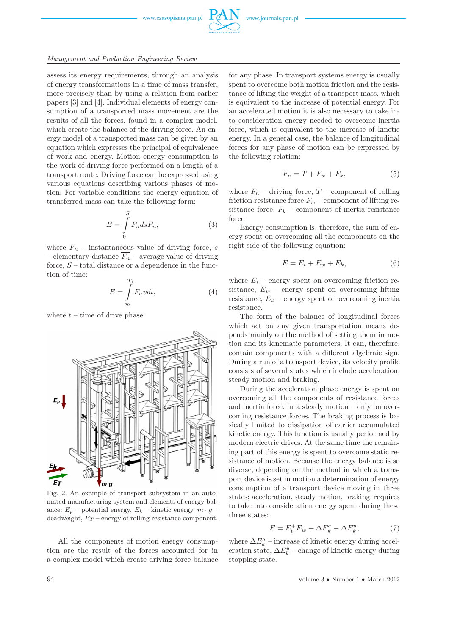www.czasopisma.pan.pl



#### *Management and Production Engineering Review*

assess its energy requirements, through an analysis of energy transformations in a time of mass transfer, more precisely than by using a relation from earlier papers [3] and [4]. Individual elements of energy consumption of a transported mass movement are the results of all the forces, found in a complex model, which create the balance of the driving force. An energy model of a transported mass can be given by an equation which expresses the principal of equivalence of work and energy. Motion energy consumption is the work of driving force performed on a length of a transport route. Driving force can be expressed using various equations describing various phases of motion. For variable conditions the energy equation of transferred mass can take the following form:

$$
E = \int_{0}^{S} F_n ds \overline{F_n},
$$
 (3)

where  $F_n$  – instantaneous value of driving force, s – elementary distance  $\overline{F_n}$  – average value of driving force,  $S$  – total distance or a dependence in the function of time:

$$
E = \int_{s_0}^{T_1} F_n v dt,
$$
\n(4)

where  $t$  – time of drive phase.



Fig. 2. An example of transport subsystem in an automated manufacturing system and elements of energy balance:  $E_p$  – potential energy,  $E_k$  – kinetic energy,  $m \cdot g$  – deadweight,  $E_T$  – energy of rolling resistance component.

All the components of motion energy consumption are the result of the forces accounted for in a complex model which create driving force balance for any phase. In transport systems energy is usually spent to overcome both motion friction and the resistance of lifting the weight of a transport mass, which is equivalent to the increase of potential energy. For an accelerated motion it is also necessary to take into consideration energy needed to overcome inertia force, which is equivalent to the increase of kinetic energy. In a general case, the balance of longitudinal forces for any phase of motion can be expressed by the following relation:

$$
F_n = T + F_w + F_k,\tag{5}
$$

where  $F_n$  – driving force,  $T$  – component of rolling friction resistance force  $F_w$  – component of lifting resistance force,  $F_k$  – component of inertia resistance force

Energy consumption is, therefore, the sum of energy spent on overcoming all the components on the right side of the following equation:

$$
E = E_t + E_w + E_k, \tag{6}
$$

where  $E_t$  – energy spent on overcoming friction resistance,  $E_w$  – energy spent on overcoming lifting resistance,  $E_k$  – energy spent on overcoming inertia resistance.

The form of the balance of longitudinal forces which act on any given transportation means depends mainly on the method of setting them in motion and its kinematic parameters. It can, therefore, contain components with a different algebraic sign. During a run of a transport device, its velocity profile consists of several states which include acceleration, steady motion and braking.

During the acceleration phase energy is spent on overcoming all the components of resistance forces and inertia force. In a steady motion – only on overcoming resistance forces. The braking process is basically limited to dissipation of earlier accumulated kinetic energy. This function is usually performed by modern electric drives. At the same time the remaining part of this energy is spent to overcome static resistance of motion. Because the energy balance is so diverse, depending on the method in which a transport device is set in motion a determination of energy consumption of a transport device moving in three states; acceleration, steady motion, braking, requires to take into consideration energy spent during these three states:

$$
E = E_t^+ E_w + \Delta E_k^a - \Delta E_k^u, \tag{7}
$$

where  $\Delta E_k^a$  – increase of kinetic energy during acceleration state,  $\Delta E_k^u$  – change of kinetic energy during stopping state.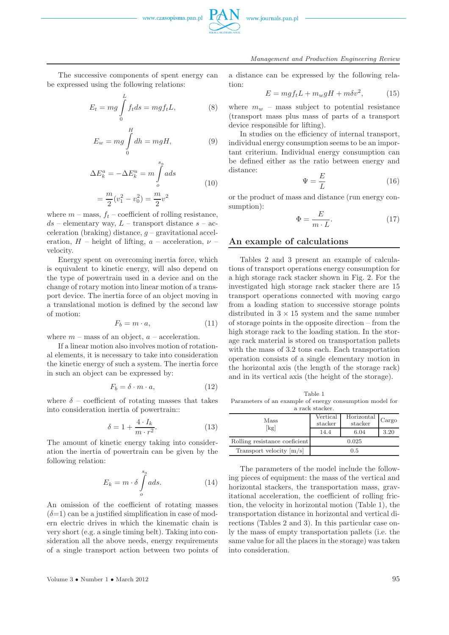



*Management and Production Engineering Review*

The successive components of spent energy can be expressed using the following relations:

$$
E_t = mg \int_0^L f_t ds = mgf_t L, \qquad (8)
$$

$$
E_w = mg \int\limits_0^H dh = mgH,\tag{9}
$$

$$
\Delta E_k^a = -\Delta E_k^u = m \int_0^{s_a} a ds
$$
  
=  $\frac{m}{2} (v_1^2 - v_0^2) = \frac{m}{2} v^2$  (10)

where  $m$  – mass,  $f_t$  – coefficient of rolling resistance,  $ds$  – elementary way,  $L$  – transport distance  $s$  – acceleration (braking) distance,  $g$  – gravitational acceleration,  $H$  – height of lifting,  $a$  – acceleration,  $\nu$  – velocity.

Energy spent on overcoming inertia force, which is equivalent to kinetic energy, will also depend on the type of powertrain used in a device and on the change of rotary motion into linear motion of a transport device. The inertia force of an object moving in a translational motion is defined by the second law of motion:

$$
F_b = m \cdot a,\tag{11}
$$

where  $m$  – mass of an object,  $a$  – acceleration.

If a linear motion also involves motion of rotational elements, it is necessary to take into consideration the kinetic energy of such a system. The inertia force in such an object can be expressed by:

$$
F_b = \delta \cdot m \cdot a,\tag{12}
$$

where  $\delta$  – coefficient of rotating masses that takes into consideration inertia of powertrain::

$$
\delta = 1 + \frac{4 \cdot I_k}{m \cdot r^2}.
$$
\n(13)

The amount of kinetic energy taking into consideration the inertia of powertrain can be given by the following relation:

$$
E_k = m \cdot \delta \int\limits_{o}^{s_a} a ds. \tag{14}
$$

An omission of the coefficient of rotating masses  $(\delta=1)$  can be a justified simplification in case of modern electric drives in which the kinematic chain is very short (e.g. a single timing belt). Taking into consideration all the above needs, energy requirements of a single transport action between two points of a distance can be expressed by the following relation:

$$
E = mgf_t L + m_w gH + m\delta v^2, \qquad (15)
$$

where  $m_w$  – mass subject to potential resistance (transport mass plus mass of parts of a transport device responsible for lifting).

In studies on the efficiency of internal transport, individual energy consumption seems to be an important criterium. Individual energy consumption can be defined either as the ratio between energy and distance:

$$
\Psi = \frac{E}{L} \tag{16}
$$

or the product of mass and distance (run energy consumption):

$$
\Phi = \frac{E}{m \cdot L}.\tag{17}
$$

### **An example of calculations**

Tables 2 and 3 present an example of calculations of transport operations energy consumption for a high storage rack stacker shown in Fig. 2. For the investigated high storage rack stacker there are 15 transport operations connected with moving cargo from a loading station to successive storage points distributed in  $3 \times 15$  system and the same number of storage points in the opposite direction – from the high storage rack to the loading station. In the storage rack material is stored on transportation pallets with the mass of 3.2 tons each. Each transportation operation consists of a single elementary motion in the horizontal axis (the length of the storage rack) and in its vertical axis (the height of the storage).

Table 1 Parameters of an example of energy consumption model for rack stacker

| a raciv svačiver.             |                     |                       |       |  |  |  |
|-------------------------------|---------------------|-----------------------|-------|--|--|--|
| Mass<br>[kg]                  | Vertical<br>stacker | Horizontal<br>stacker | Cargo |  |  |  |
|                               | 14.4                | 6.04                  | 3.20  |  |  |  |
| Rolling resistance coeficient |                     | 0.025                 |       |  |  |  |
| Transport velocity $[m/s]$    |                     | 0.5                   |       |  |  |  |

The parameters of the model include the following pieces of equipment: the mass of the vertical and horizontal stackers, the transportation mass, gravitational acceleration, the coefficient of rolling friction, the velocity in horizontal motion (Table 1), the transportation distance in horizontal and vertical directions (Tables 2 and 3). In this particular case only the mass of empty transportation pallets (i.e. the same value for all the places in the storage) was taken into consideration.